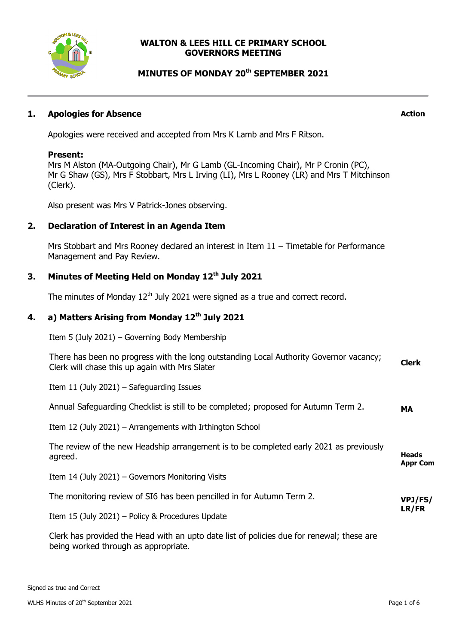

### **WALTON & LEES HILL CE PRIMARY SCHOOL GOVERNORS MEETING**

# **MINUTES OF MONDAY 20 th SEPTEMBER 2021**

### **1. Apologies for Absence**

**Action**

Apologies were received and accepted from Mrs K Lamb and Mrs F Ritson.

#### **Present:**

Mrs M Alston (MA-Outgoing Chair), Mr G Lamb (GL-Incoming Chair), Mr P Cronin (PC), Mr G Shaw (GS), Mrs F Stobbart, Mrs L Irving (LI), Mrs L Rooney (LR) and Mrs T Mitchinson (Clerk).

Also present was Mrs V Patrick-Jones observing.

### **2. Declaration of Interest in an Agenda Item**

Mrs Stobbart and Mrs Rooney declared an interest in Item 11 – Timetable for Performance Management and Pay Review.

# **3. Minutes of Meeting Held on Monday 12th July 2021**

The minutes of Monday  $12<sup>th</sup>$  July 2021 were signed as a true and correct record.

# **4. a) Matters Arising from Monday 12th July 2021**

Item 5 (July 2021) – Governing Body Membership

| There has been no progress with the long outstanding Local Authority Governor vacancy;<br>Clerk will chase this up again with Mrs Slater | <b>Clerk</b>                    |
|------------------------------------------------------------------------------------------------------------------------------------------|---------------------------------|
| Item 11 (July 2021) $-$ Safeguarding Issues                                                                                              |                                 |
| Annual Safeguarding Checklist is still to be completed; proposed for Autumn Term 2.                                                      | MA                              |
| Item 12 (July 2021) – Arrangements with Irthington School                                                                                |                                 |
| The review of the new Headship arrangement is to be completed early 2021 as previously<br>agreed.                                        | <b>Heads</b><br><b>Appr Com</b> |
| Item 14 (July 2021) - Governors Monitoring Visits                                                                                        |                                 |
| The monitoring review of SI6 has been pencilled in for Autumn Term 2.                                                                    | VPJ/FS/                         |
| Item 15 (July 2021) - Policy & Procedures Update                                                                                         | LR/FR                           |
| Clerk has provided the Head with an upto date list of policies due for renewal; these are<br>being worked through as appropriate.        |                                 |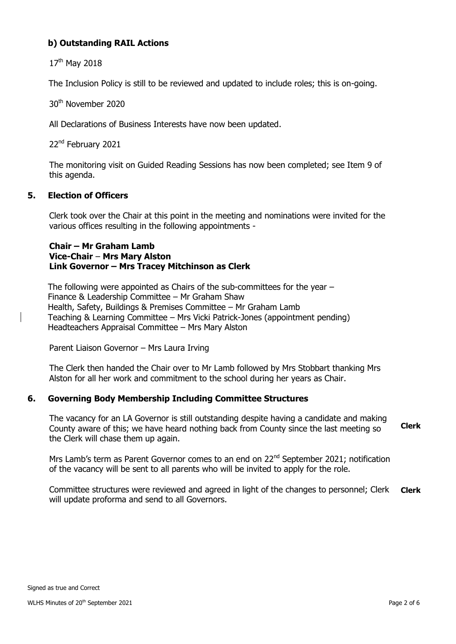# **b) Outstanding RAIL Actions**

17<sup>th</sup> May 2018

The Inclusion Policy is still to be reviewed and updated to include roles; this is on-going.

30th November 2020

All Declarations of Business Interests have now been updated.

22<sup>nd</sup> February 2021

The monitoring visit on Guided Reading Sessions has now been completed; see Item 9 of this agenda.

### **5. Election of Officers**

Clerk took over the Chair at this point in the meeting and nominations were invited for the various offices resulting in the following appointments -

### **Chair – Mr Graham Lamb Vice-Chair** – **Mrs Mary Alston Link Governor – Mrs Tracey Mitchinson as Clerk**

The following were appointed as Chairs of the sub-committees for the year – Finance & Leadership Committee – Mr Graham Shaw Health, Safety, Buildings & Premises Committee – Mr Graham Lamb Teaching & Learning Committee – Mrs Vicki Patrick-Jones (appointment pending) Headteachers Appraisal Committee – Mrs Mary Alston

Parent Liaison Governor – Mrs Laura Irving

The Clerk then handed the Chair over to Mr Lamb followed by Mrs Stobbart thanking Mrs Alston for all her work and commitment to the school during her years as Chair.

# **6. Governing Body Membership Including Committee Structures**

The vacancy for an LA Governor is still outstanding despite having a candidate and making County aware of this; we have heard nothing back from County since the last meeting so the Clerk will chase them up again. **Clerk** 

Mrs Lamb's term as Parent Governor comes to an end on 22<sup>nd</sup> September 2021; notification of the vacancy will be sent to all parents who will be invited to apply for the role.

Committee structures were reviewed and agreed in light of the changes to personnel; Clerk will update proforma and send to all Governors. **Clerk**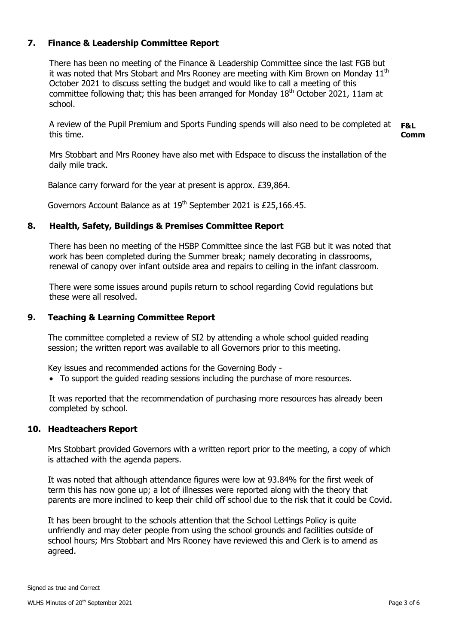## **7. Finance & Leadership Committee Report**

There has been no meeting of the Finance & Leadership Committee since the last FGB but it was noted that Mrs Stobart and Mrs Rooney are meeting with Kim Brown on Monday  $11<sup>th</sup>$ October 2021 to discuss setting the budget and would like to call a meeting of this committee following that; this has been arranged for Monday  $18<sup>th</sup>$  October 2021, 11am at school.

A review of the Pupil Premium and Sports Funding spends will also need to be completed at this time. **F&L Comm**

Mrs Stobbart and Mrs Rooney have also met with Edspace to discuss the installation of the daily mile track.

Balance carry forward for the year at present is approx. £39,864.

Governors Account Balance as at 19<sup>th</sup> September 2021 is £25,166.45.

### **8. Health, Safety, Buildings & Premises Committee Report**

There has been no meeting of the HSBP Committee since the last FGB but it was noted that work has been completed during the Summer break; namely decorating in classrooms, renewal of canopy over infant outside area and repairs to ceiling in the infant classroom.

There were some issues around pupils return to school regarding Covid regulations but these were all resolved.

#### **9. Teaching & Learning Committee Report**

The committee completed a review of SI2 by attending a whole school guided reading session; the written report was available to all Governors prior to this meeting.

Key issues and recommended actions for the Governing Body -

• To support the quided reading sessions including the purchase of more resources.

It was reported that the recommendation of purchasing more resources has already been completed by school.

#### **10. Headteachers Report**

Mrs Stobbart provided Governors with a written report prior to the meeting, a copy of which is attached with the agenda papers.

It was noted that although attendance figures were low at 93.84% for the first week of term this has now gone up; a lot of illnesses were reported along with the theory that parents are more inclined to keep their child off school due to the risk that it could be Covid.

It has been brought to the schools attention that the School Lettings Policy is quite unfriendly and may deter people from using the school grounds and facilities outside of school hours; Mrs Stobbart and Mrs Rooney have reviewed this and Clerk is to amend as agreed.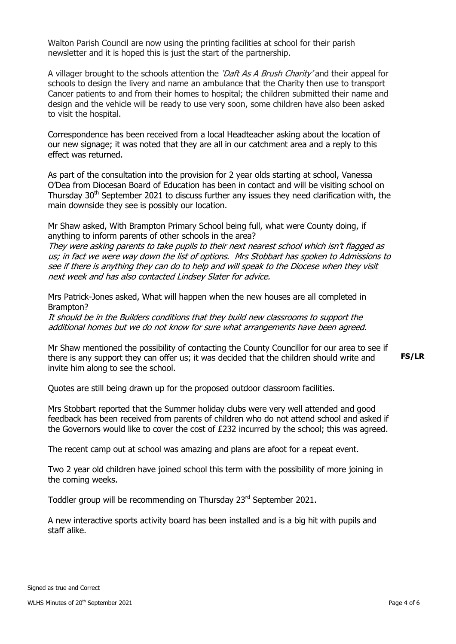Walton Parish Council are now using the printing facilities at school for their parish newsletter and it is hoped this is just the start of the partnership.

A villager brought to the schools attention the 'Daft As A Brush Charity' and their appeal for schools to design the livery and name an ambulance that the Charity then use to transport Cancer patients to and from their homes to hospital; the children submitted their name and design and the vehicle will be ready to use very soon, some children have also been asked to visit the hospital.

Correspondence has been received from a local Headteacher asking about the location of our new signage; it was noted that they are all in our catchment area and a reply to this effect was returned.

As part of the consultation into the provision for 2 year olds starting at school, Vanessa O'Dea from Diocesan Board of Education has been in contact and will be visiting school on Thursday  $30<sup>th</sup>$  September 2021 to discuss further any issues they need clarification with, the main downside they see is possibly our location.

Mr Shaw asked, With Brampton Primary School being full, what were County doing, if anything to inform parents of other schools in the area?

They were asking parents to take pupils to their next nearest school which isn't flagged as us; in fact we were way down the list of options. Mrs Stobbart has spoken to Admissions to see if there is anything they can do to help and will speak to the Diocese when they visit next week and has also contacted Lindsey Slater for advice.

Mrs Patrick-Jones asked, What will happen when the new houses are all completed in Brampton?

It should be in the Builders conditions that they build new classrooms to support the additional homes but we do not know for sure what arrangements have been agreed.

Mr Shaw mentioned the possibility of contacting the County Councillor for our area to see if there is any support they can offer us; it was decided that the children should write and invite him along to see the school.

**FS/LR**

Quotes are still being drawn up for the proposed outdoor classroom facilities.

Mrs Stobbart reported that the Summer holiday clubs were very well attended and good feedback has been received from parents of children who do not attend school and asked if the Governors would like to cover the cost of £232 incurred by the school; this was agreed.

The recent camp out at school was amazing and plans are afoot for a repeat event.

Two 2 year old children have joined school this term with the possibility of more joining in the coming weeks.

Toddler group will be recommending on Thursday 23<sup>rd</sup> September 2021.

A new interactive sports activity board has been installed and is a big hit with pupils and staff alike.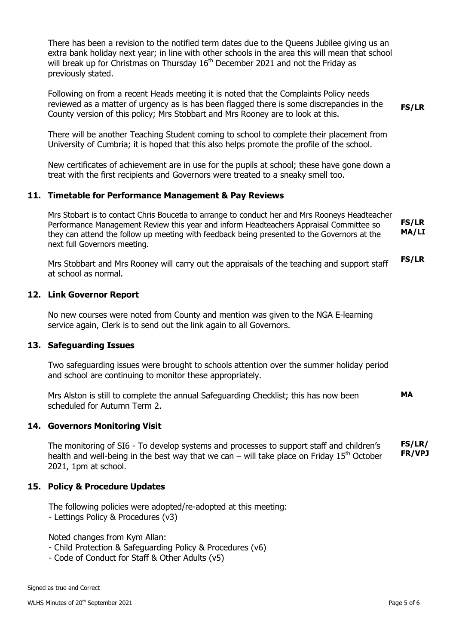There has been a revision to the notified term dates due to the Queens Jubilee giving us an extra bank holiday next year; in line with other schools in the area this will mean that school will break up for Christmas on Thursday  $16<sup>th</sup>$  December 2021 and not the Friday as previously stated.

Following on from a recent Heads meeting it is noted that the Complaints Policy needs reviewed as a matter of urgency as is has been flagged there is some discrepancies in the County version of this policy; Mrs Stobbart and Mrs Rooney are to look at this. **FS/LR**

There will be another Teaching Student coming to school to complete their placement from University of Cumbria; it is hoped that this also helps promote the profile of the school.

New certificates of achievement are in use for the pupils at school; these have gone down a treat with the first recipients and Governors were treated to a sneaky smell too.

#### **11. Timetable for Performance Management & Pay Reviews**

Mrs Stobart is to contact Chris Boucetla to arrange to conduct her and Mrs Rooneys Headteacher Performance Management Review this year and inform Headteachers Appraisal Committee so they can attend the follow up meeting with feedback being presented to the Governors at the next full Governors meeting. **FS/LR MA/LI**

Mrs Stobbart and Mrs Rooney will carry out the appraisals of the teaching and support staff at school as normal. **FS/LR**

#### **12. Link Governor Report**

No new courses were noted from County and mention was given to the NGA E-learning service again, Clerk is to send out the link again to all Governors.

#### **13. Safeguarding Issues**

Two safeguarding issues were brought to schools attention over the summer holiday period and school are continuing to monitor these appropriately.

Mrs Alston is still to complete the annual Safeguarding Checklist; this has now been scheduled for Autumn Term 2. **MA**

#### **14. Governors Monitoring Visit**

The monitoring of SI6 - To develop systems and processes to support staff and children's health and well-being in the best way that we can – will take place on Friday  $15<sup>th</sup>$  October 2021, 1pm at school. **FS/LR/ FR/VPJ**

#### **15. Policy & Procedure Updates**

The following policies were adopted/re-adopted at this meeting: - Lettings Policy & Procedures (v3)

Noted changes from Kym Allan:

- Child Protection & Safeguarding Policy & Procedures (v6)
- Code of Conduct for Staff & Other Adults (v5)